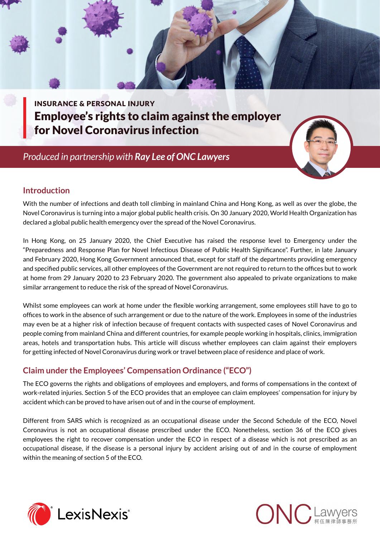INSURANCE & PERSONAL INJURY Employee's rights to claim against the employer for Novel Coronavirus infection

 *Produced in partnership with Ray Lee [of ONC Lawyers](http://www.onc.hk/en_US/ray-lee/)*



### **Introduction**

With the number of infections and death toll climbing in mainland China and Hong Kong, as well as over the globe, the Novel Coronavirus is turning into a major global public health crisis. On 30 January 2020, World Health Organization has declared a global public health emergency over the spread of the Novel Coronavirus.

In Hong Kong, on 25 January 2020, the Chief Executive has raised the response level to Emergency under the "Preparedness and Response Plan for Novel Infectious Disease of Public Health Significance". Further, in late January and February 2020, Hong Kong Government announced that, except for staff of the departments providing emergency and specified public services, all other employees of the Government are not required to return to the offices but to work at home from 29 January 2020 to 23 February 2020. The government also appealed to private organizations to make similar arrangement to reduce the risk of the spread of Novel Coronavirus.

Whilst some employees can work at home under the flexible working arrangement, some employees still have to go to offices to work in the absence of such arrangement or due to the nature of the work. Employees in some of the industries may even be at a higher risk of infection because of frequent contacts with suspected cases of Novel Coronavirus and people coming from mainland China and different countries, for example people working in hospitals, clinics, immigration areas, hotels and transportation hubs. This article will discuss whether employees can claim against their employers for getting infected of Novel Coronavirus during work or travel between place of residence and place of work.

## **Claim under the Employees' Compensation Ordinance ("ECO")**

The ECO governs the rights and obligations of employees and employers, and forms of compensations in the context of work-related injuries. Section 5 of the ECO provides that an employee can claim employees' compensation for injury by accident which can be proved to have arisen out of and in the course of employment.

Different from SARS which is recognized as an occupational disease under the Second Schedule of the ECO, Novel Coronavirus is not an occupational disease prescribed under the ECO. Nonetheless, section 36 of the ECO gives employees the right to recover compensation under the ECO in respect of a disease which is not prescribed as an occupational disease, if the disease is a personal injury by accident arising out of and in the course of employment within the meaning of section 5 of the ECO.



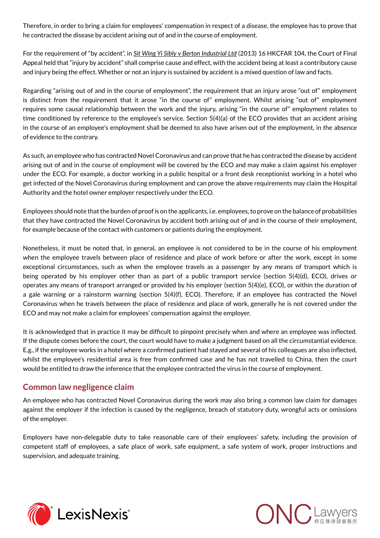Therefore, in order to bring a claim for employees' compensation in respect of a disease, the employee has to prove that he contracted the disease by accident arising out of and in the course of employment.

For the requirement of "by accident", in *Sit Wing Yi Sibly v Berton Industrial Ltd* (2013) 16 HKCFAR 104, the Court of Final Appeal held that "injury by accident" shall comprise cause and effect, with the accident being at least a contributory cause and injury being the effect. Whether or not an injury is sustained by accident is a mixed question of law and facts.

Regarding "arising out of and in the course of employment", the requirement that an injury arose "out of" employment is distinct from the requirement that it arose "in the course of" employment. Whilst arising "out of" employment requires some causal relationship between the work and the injury, arising "in the course of" employment relates to time conditioned by reference to the employee's service. Section 5(4)(a) of the ECO provides that an accident arising in the course of an employee's employment shall be deemed to also have arisen out of the employment, in the absence of evidence to the contrary.

As such, an employee who has contracted Novel Coronavirus and can prove that he has contracted the disease by accident arising out of and in the course of employment will be covered by the ECO and may make a claim against his employer under the ECO. For example, a doctor working in a public hospital or a front desk receptionist working in a hotel who get infected of the Novel Coronavirus during employment and can prove the above requirements may claim the Hospital Authority and the hotel owner employer respectively under the ECO.

Employees should note that the burden of proof is on the applicants, i.e. employees, to prove on the balance of probabilities that they have contracted the Novel Coronavirus by accident both arising out of and in the course of their employment, for example because of the contact with customers or patients during the employment.

Nonetheless, it must be noted that, in general, an employee is not considered to be in the course of his employment when the employee travels between place of residence and place of work before or after the work, except in some exceptional circumstances, such as when the employee travels as a passenger by any means of transport which is being operated by his employer other than as part of a public transport service (section 5(4)(d), ECO), drives or operates any means of transport arranged or provided by his employer (section 5(4)(e), ECO), or within the duration of a gale warning or a rainstorm warning (section 5(4)(f), ECO). Therefore, if an employee has contracted the Novel Coronavirus when he travels between the place of residence and place of work, generally he is not covered under the ECO and may not make a claim for employees' compensation against the employer.

It is acknowledged that in practice it may be difficult to pinpoint precisely when and where an employee was inflected. If the dispute comes before the court, the court would have to make a judgment based on all the circumstantial evidence. E.g., if the employee works in a hotel where a confirmed patient had stayed and several of his colleagues are also inflected, whilst the employee's residential area is free from confirmed case and he has not travelled to China, then the court would be entitled to draw the inference that the employee contracted the virus in the course of employment.

#### **Common law negligence claim**

An employee who has contracted Novel Coronavirus during the work may also bring a common law claim for damages against the employer if the infection is caused by the negligence, breach of statutory duty, wrongful acts or omissions of the employer.

Employers have non-delegable duty to take reasonable care of their employees' safety, including the provision of competent staff of employees, a safe place of work, safe equipment, a safe system of work, proper instructions and supervision, and adequate training.



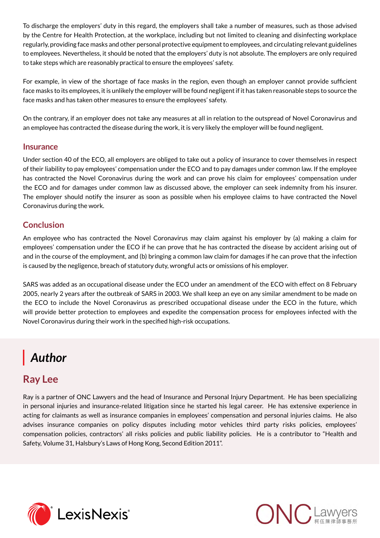To discharge the employers' duty in this regard, the employers shall take a number of measures, such as those advised by the Centre for Health Protection, at the workplace, including but not limited to cleaning and disinfecting workplace regularly, providing face masks and other personal protective equipment to employees, and circulating relevant guidelines to employees. Nevertheless, it should be noted that the employers' duty is not absolute. The employers are only required to take steps which are reasonably practical to ensure the employees' safety.

For example, in view of the shortage of face masks in the region, even though an employer cannot provide sufficient face masks to its employees, it is unlikely the employer will be found negligent if it has taken reasonable steps to source the face masks and has taken other measures to ensure the employees' safety.

On the contrary, if an employer does not take any measures at all in relation to the outspread of Novel Coronavirus and an employee has contracted the disease during the work, it is very likely the employer will be found negligent.

#### **Insurance**

Under section 40 of the ECO, all employers are obliged to take out a policy of insurance to cover themselves in respect of their liability to pay employees' compensation under the ECO and to pay damages under common law. If the employee has contracted the Novel Coronavirus during the work and can prove his claim for employees' compensation under the ECO and for damages under common law as discussed above, the employer can seek indemnity from his insurer. The employer should notify the insurer as soon as possible when his employee claims to have contracted the Novel Coronavirus during the work.

#### **Conclusion**

An employee who has contracted the Novel Coronavirus may claim against his employer by (a) making a claim for employees' compensation under the ECO if he can prove that he has contracted the disease by accident arising out of and in the course of the employment, and (b) bringing a common law claim for damages if he can prove that the infection is caused by the negligence, breach of statutory duty, wrongful acts or omissions of his employer.

SARS was added as an occupational disease under the ECO under an amendment of the ECO with effect on 8 February 2005, nearly 2 years after the outbreak of SARS in 2003. We shall keep an eye on any similar amendment to be made on the ECO to include the Novel Coronavirus as prescribed occupational disease under the ECO in the future, which will provide better protection to employees and expedite the compensation process for employees infected with the Novel Coronavirus during their work in the specified high-risk occupations.

# *Author*

# **Ray Lee**

Ray is a partner of ONC Lawyers and the head of Insurance and Personal Injury Department. He has been specializing in personal injuries and insurance-related litigation since he started his legal career. He has extensive experience in acting for claimants as well as insurance companies in employees' compensation and personal injuries claims. He also advises insurance companies on policy disputes including motor vehicles third party risks policies, employees' compensation policies, contractors' all risks policies and public liability policies. He is a contributor to "Health and Safety, Volume 31, Halsbury's Laws of Hong Kong, Second Edition 2011".